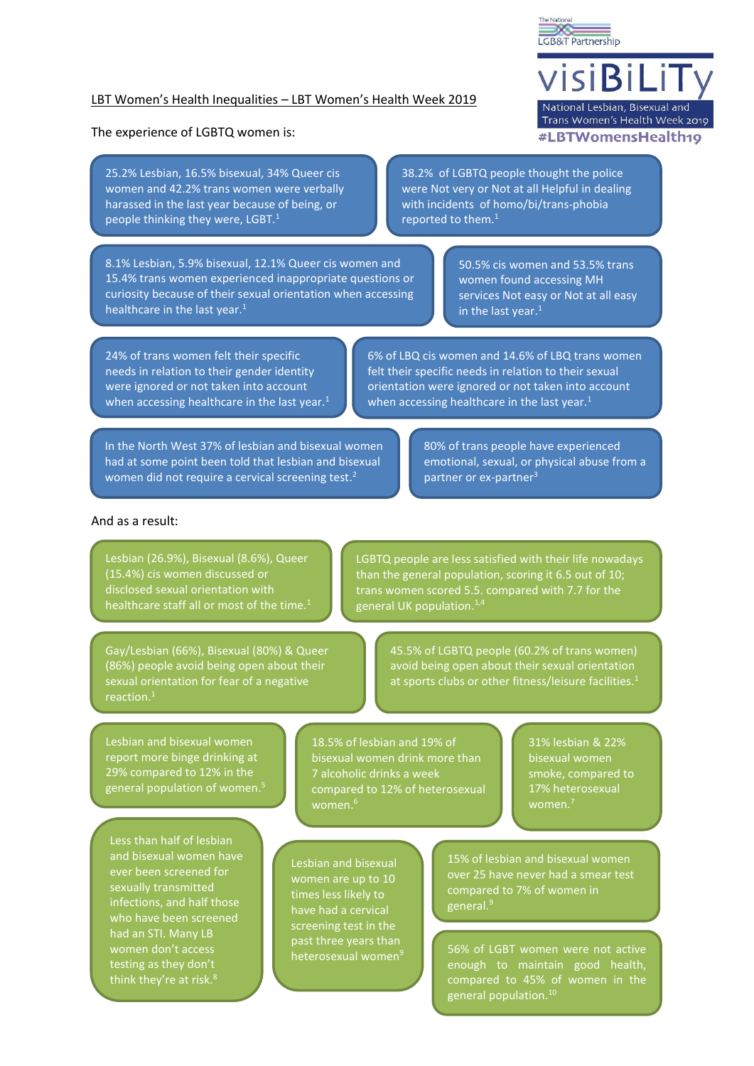

# LBT Women's Health Inequalities – LBT Women's Health Week 2019

#### The experience of LGBTQ women is:

25.2% Lesbian, 16.5% bisexual, 34% Queer cis women and 42.2% trans women were verbally harassed in the last year because of being, or people thinking they were, LGBT.<sup>1</sup>

8.1% Lesbian, 5.9% bisexual, 12.1% Queer cis women and 15.4% trans women experienced inappropriate questions or curiosity because of their sexual orientation when accessing healthcare in the last year. $<sup>1</sup>$ </sup>

38.2% of LGBTQ people thought the police were Not very or Not at all Helpful in dealing with incidents of homo/bi/trans-phobia reported to them.<sup>1</sup>

> 50.5% cis women and 53.5% trans women found accessing MH services Not easy or Not at all easy in the last year. 1

24% of trans women felt their specific needs in relation to their gender identity were ignored or not taken into account when accessing healthcare in the last year.<sup>1</sup>

6% of LBQ cis women and 14.6% of LBQ trans women felt their specific needs in relation to their sexual orientation were ignored or not taken into account when accessing healthcare in the last year. $1$ 

In the North West 37% of lesbian and bisexual women had at some point been told that lesbian and bisexual women did not require a cervical screening test.<sup>2</sup>

80% of trans people have experienced emotional, sexual, or physical abuse from a partner or ex-partner<sup>3</sup>

## And as a result:

Lesbian (26.9%), Bisexual (8.6%), Queer (15.4%) cis women discussed or disclosed sexual orientation with healthcare staff all or most of the time.<sup>1</sup>

LGBTQ people are less satisfied with their life nowadays than the general population, scoring it 6.5 out of 10; trans women scored 5.5. compared with 7.7 for the general UK population. 1,4

Gay/Lesbian (66%), Bisexual (80%) & Queer (86%) people avoid being open about their sexual orientation for fear of a negative reaction. 1

45.5% of LGBTQ people (60.2% of trans women) avoid being open about their sexual orientation at sports clubs or other fitness/leisure facilities.<sup>1</sup>

Lesbian and bisexual women report more binge drinking at 29% compared to 12% in the general population of women. 5

Less than half of lesbian and bisexual women have ever been screened for sexually transmitted infections, and half those who have been screened had an STI. Many LB women don't access testing as they don't think they're at risk. 8

18.5% of lesbian and 19% of bisexual women drink more than 7 alcoholic drinks a week compared to 12% of heterosexual

Lesbian and bisexual women are up to 10 times less likely to have had a cervical screening test in the past three years than heterosexual women<sup>9</sup>

31% lesbian & 22% bisexual women smoke, compared to 17% heterosexual women. $^7$ 

15% of lesbian and bisexual women over 25 have never had a smear test compared to 7% of women in general. 9

56% of LGBT women were not active enough to maintain good health, compared to 45% of women in the general population. 10

visiBiLi National Lesbian, Bisexual and Trans Women's Health Week 2019 #LBTWomensHealth19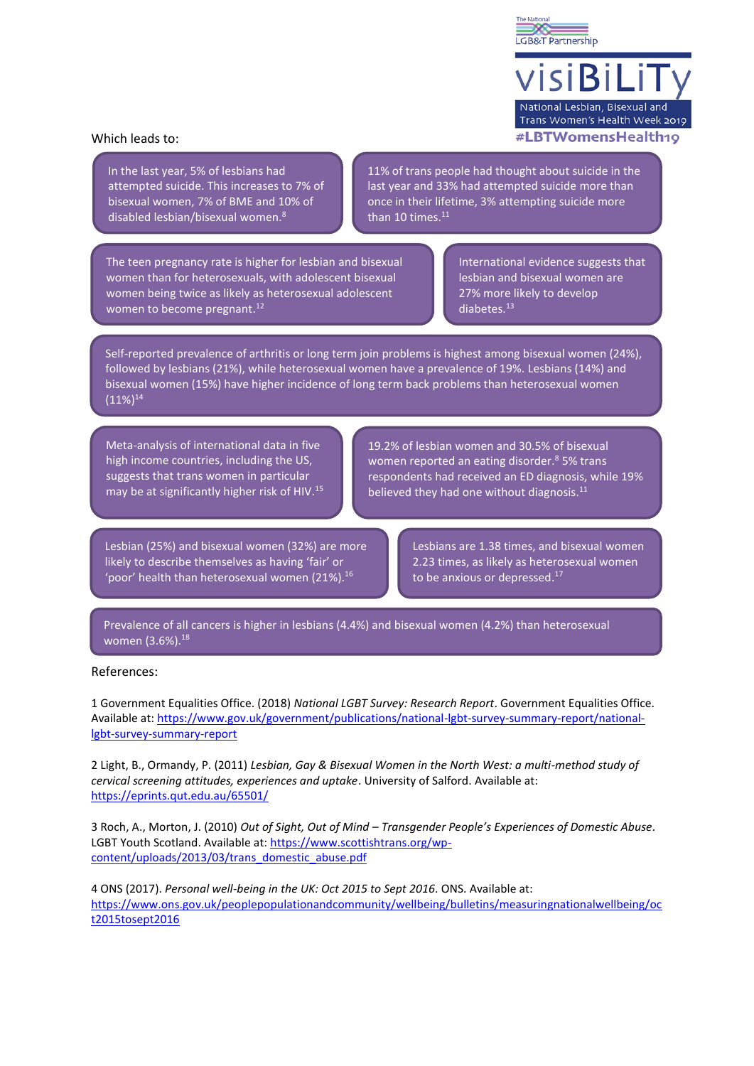× LGB&T Partnership

visiBiLi National Lesbian, Bisexual and Trans Women's Health Week 2019 #LBTWomensHealth10

#### Which leads to:

In the last year, 5% of lesbians had attempted suicide. This increases to 7% of bisexual women, 7% of BME and 10% of disabled lesbian/bisexual women. 8

11% of trans people had thought about suicide in the last year and 33% had attempted suicide more than once in their lifetime, 3% attempting suicide more than 10 times.<sup>11</sup>

The teen pregnancy rate is higher for lesbian and bisexual women than for heterosexuals, with adolescent bisexual women being twice as likely as heterosexual adolescent women to become pregnant.<sup>12</sup>

International evidence suggests that lesbian and bisexual women are 27% more likely to develop diabetes. 13

Self-reported prevalence of arthritis or long term join problems is highest among bisexual women (24%), followed by lesbians (21%), while heterosexual women have a prevalence of 19%. Lesbians (14%) and bisexual women (15%) have higher incidence of long term back problems than heterosexual women  $(11\%)^{14}$ 

Meta-analysis of international data in five high income countries, including the US, suggests that trans women in particular may be at significantly higher risk of HIV.<sup>15</sup>

19.2% of lesbian women and 30.5% of bisexual women reported an eating disorder. <sup>8</sup> 5% trans respondents had received an ED diagnosis, while 19% believed they had one without diagnosis.<sup>11</sup>

Lesbian (25%) and bisexual women (32%) are more likely to describe themselves as having 'fair' or 'poor' health than heterosexual women (21%). 16

Lesbians are 1.38 times, and bisexual women 2.23 times, as likely as heterosexual women to be anxious or depressed.<sup>17</sup>

Prevalence of all cancers is higher in lesbians (4.4%) and bisexual women (4.2%) than heterosexual women (3.6%).<sup>18</sup>

## References:

1 Government Equalities Office. (2018) *National LGBT Survey: Research Report*. Government Equalities Office. Available at: [https://www.gov.uk/government/publications/national-lgbt-survey-summary-report/national](https://www.gov.uk/government/publications/national-lgbt-survey-summary-report/national-lgbt-survey-summary-report)[lgbt-survey-summary-report](https://www.gov.uk/government/publications/national-lgbt-survey-summary-report/national-lgbt-survey-summary-report)

2 Light, B., Ormandy, P. (2011) *Lesbian, Gay & Bisexual Women in the North West: a multi-method study of cervical screening attitudes, experiences and uptake*. University of Salford. Available at: <https://eprints.qut.edu.au/65501/>

3 Roch, A., Morton, J. (2010) *Out of Sight, Out of Mind – Transgender People's Experiences of Domestic Abuse.*  LGBT Youth Scotland. Available at: [https://www.scottishtrans.org/wp](https://www.scottishtrans.org/wp-content/uploads/2013/03/trans_domestic_abuse.pdf)[content/uploads/2013/03/trans\\_domestic\\_abuse.pdf](https://www.scottishtrans.org/wp-content/uploads/2013/03/trans_domestic_abuse.pdf)

4 ONS (2017). *Personal well-being in the UK: Oct 2015 to Sept 2016*. ONS. Available at: [https://www.ons.gov.uk/peoplepopulationandcommunity/wellbeing/bulletins/measuringnationalwellbeing/oc](https://www.ons.gov.uk/peoplepopulationandcommunity/wellbeing/bulletins/measuringnationalwellbeing/oct2015tosept2016) [t2015tosept2016](https://www.ons.gov.uk/peoplepopulationandcommunity/wellbeing/bulletins/measuringnationalwellbeing/oct2015tosept2016)